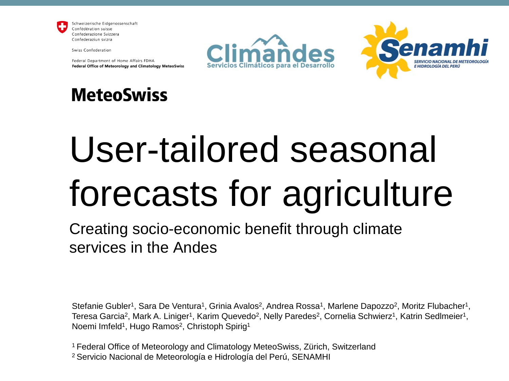

Schweizerische Eidgenossenschaft Confédération suisse Confederazione Svizzera Confederaziun svizra

Swiss Confederation

Federal Department of Home Affairs FDHA **Federal Office of Meteorology and Climatology MeteoSwiss** 





### **MeteoSwiss**

# User-tailored seasonal forecasts for agriculture

Creating socio-economic benefit through climate services in the Andes

Stefanie Gubler<sup>1</sup>, Sara De Ventura<sup>1</sup>, Grinia Avalos<sup>2</sup>, Andrea Rossa<sup>1</sup>, Marlene Dapozzo<sup>2</sup>, Moritz Flubacher<sup>1</sup>. Teresa Garcia<sup>2</sup>, Mark A. Liniger<sup>1</sup>, Karim Quevedo<sup>2</sup>, Nelly Paredes<sup>2</sup>, Cornelia Schwierz<sup>1</sup>, Katrin Sedlmeier<sup>1</sup>, Noemi Imfeld<sup>1</sup>, Hugo Ramos<sup>2</sup>, Christoph Spirig<sup>1</sup>

1 Federal Office of Meteorology and Climatology MeteoSwiss, Zürich, Switzerland 2 Servicio Nacional de Meteorología e Hidrología del Perú, SENAMHI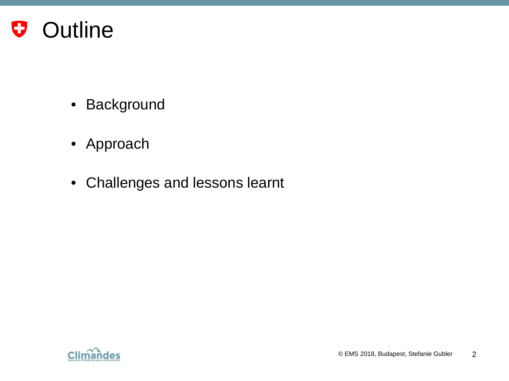- Background
- Approach
- Challenges and lessons learnt

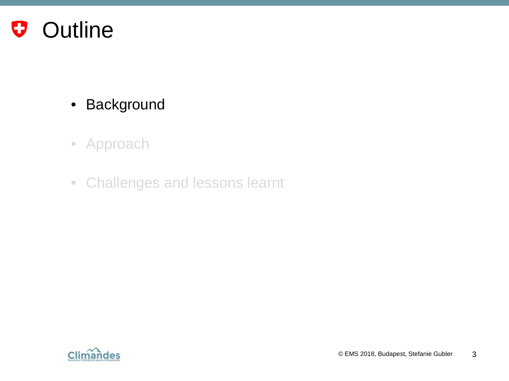- Background
- Approach
- Challenges and lessons learnt

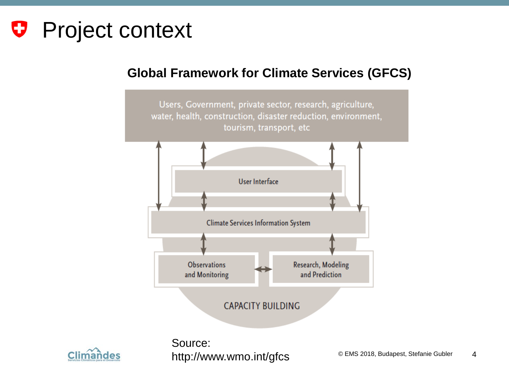### **P** Project context

#### **Global Framework for Climate Services (GFCS)**





http://www.wmo.int/gfcs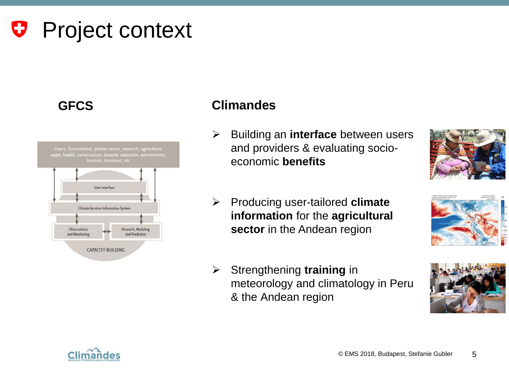### **Project context**



#### **GFCS Climandes**

- **►** Building an **interface** between users and providers & evaluating socioeconomic **benefits**
- Producing user-tailored **climate information** for the **agricultural sector** in the Andean region
- Strengthening **training** in meteorology and climatology in Peru & the Andean region







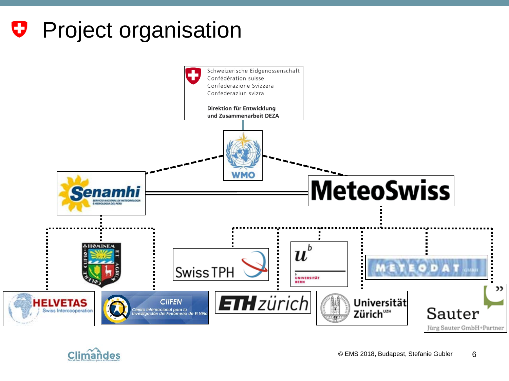## **P** Project organisation



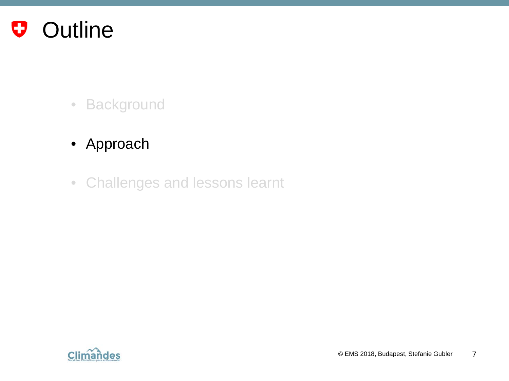- Background
- Approach
- Challenges and lessons learnt

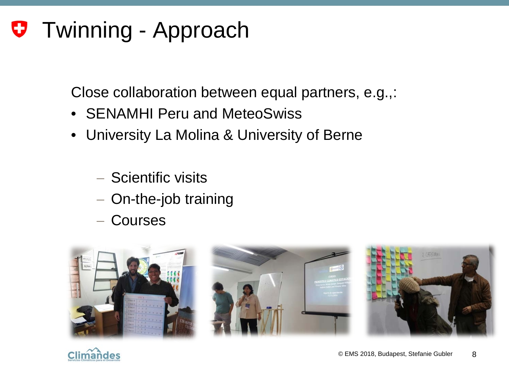## **U** Twinning - Approach

Close collaboration between equal partners, e.g.,:

- **SENAMHI Peru and MeteoSwiss**
- University La Molina & University of Berne
	- − Scientific visits
	- − On-the-job training
	- − Courses



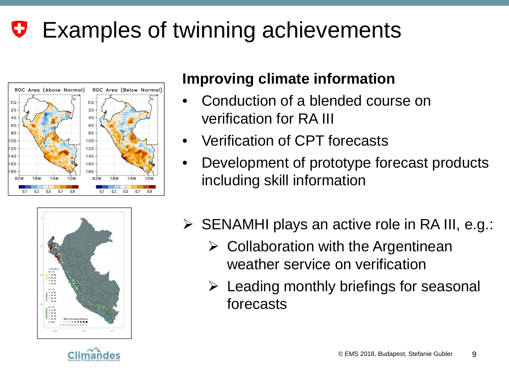#### Examples of twinning achievements U



### **Improving climate information**

- Conduction of a blended course on verification for RA III
- Verification of CPT forecasts
- Development of prototype forecast products including skill information



- $\triangleright$  SENAMHI plays an active role in RA III, e.g.:
	- $\triangleright$  Collaboration with the Argentinean weather service on verification
	- $\triangleright$  Leading monthly briefings for seasonal forecasts

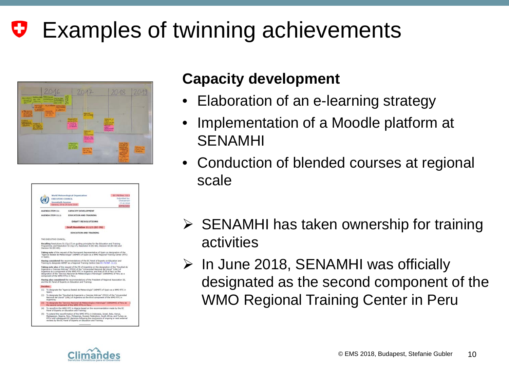#### Examples of twinning achievements U



| <b>EXECUTIVE COUNCIL</b><br><b>Seventieth Session</b>                                                                                                                                                                                                                                                                                        | World Meteorological Organization                                                     | EC-70/Doc. 11.1<br>Submitted by:<br>Chairporton<br>22.VL2018                                                                                                                                                                                                                              |  |
|----------------------------------------------------------------------------------------------------------------------------------------------------------------------------------------------------------------------------------------------------------------------------------------------------------------------------------------------|---------------------------------------------------------------------------------------|-------------------------------------------------------------------------------------------------------------------------------------------------------------------------------------------------------------------------------------------------------------------------------------------|--|
|                                                                                                                                                                                                                                                                                                                                              | Geneva, 20 to 29 June 2019                                                            | <b>APPROVED</b>                                                                                                                                                                                                                                                                           |  |
| <b>AGENDA ITEM 11:</b>                                                                                                                                                                                                                                                                                                                       | <b>CAPACITY DEVELOPMENT</b>                                                           |                                                                                                                                                                                                                                                                                           |  |
| <b>AGENDA ITEM 11.1:</b>                                                                                                                                                                                                                                                                                                                     | EDUCATION AND TRAINING                                                                |                                                                                                                                                                                                                                                                                           |  |
|                                                                                                                                                                                                                                                                                                                                              | <b>DRAFT RESOLUTIONS</b>                                                              |                                                                                                                                                                                                                                                                                           |  |
|                                                                                                                                                                                                                                                                                                                                              | Draft Resolution 11.1/1 (EC-70)                                                       |                                                                                                                                                                                                                                                                                           |  |
|                                                                                                                                                                                                                                                                                                                                              | <b>EDUCATION AND TRAINING</b>                                                         |                                                                                                                                                                                                                                                                                           |  |
| THE EXECUTIVE COUNCIL.                                                                                                                                                                                                                                                                                                                       |                                                                                       |                                                                                                                                                                                                                                                                                           |  |
| Decision 56 (EC-69):                                                                                                                                                                                                                                                                                                                         | Recalling Resolutions 51 (Ca-17) on quiding principles for the Education and Training | Programme; and Resolution 52 (Cg-17), Resolution 8 (EC-68), Degision 64 (EC-68) and                                                                                                                                                                                                       |  |
| in Spain:                                                                                                                                                                                                                                                                                                                                    |                                                                                       | Taking note of the request of the Permanent Representative of Spain on designation of the<br>"Agencia Estatal de Meteorología" (AEMET) of Spain as a WMO Regional Training Center (RTC)                                                                                                   |  |
|                                                                                                                                                                                                                                                                                                                                              | Training to designate AEMET as a Regional Training Centre (See EC-70/2NF, 11.1):      | Having considered the recommendations of the EC Panel of Experts on Education and                                                                                                                                                                                                         |  |
| component of the WHO RTCs in Peru:                                                                                                                                                                                                                                                                                                           | Argentina as a component of the WMO RTC in Argentinac and that of PR of Peru on the   | Taking note also of the request of the PR of Argentina on the designation of the "Facultad de<br>Ingeniería y Cencias Hidricas" (FICH) of the "Universidad Nacional del Litoral" (UNL) of<br>designation of the "Servicio Nacional de Meteorologia e Hidrologia" (1581484H1) of Peru as a |  |
|                                                                                                                                                                                                                                                                                                                                              | and the EC Panel of Experts on Education and Training:                                | Having also considered the recommendations of the President of Regional Association III.                                                                                                                                                                                                  |  |
| Decides:                                                                                                                                                                                                                                                                                                                                     |                                                                                       |                                                                                                                                                                                                                                                                                           |  |
| (1) To designate the "Apencia Estatal de Meteorología" (AEMET) of Spain as a WMO RTC in<br>Spaint                                                                                                                                                                                                                                            |                                                                                       |                                                                                                                                                                                                                                                                                           |  |
| (2) To designate the "Facultad de Ingenieria y Cencias Hidricas" (FICH) of the "Universidad<br>Nacional del Litoral" (UNL) of Argentina as the third component of the WMO RTC in<br>Argentina:                                                                                                                                               |                                                                                       |                                                                                                                                                                                                                                                                                           |  |
|                                                                                                                                                                                                                                                                                                                                              | the second component of the WMO RTCs in Peru:                                         | [3) To designate the "Servicio Nacional de Meteorologia a Hidrologia" (SENAMHI) of Peru as                                                                                                                                                                                                |  |
|                                                                                                                                                                                                                                                                                                                                              | Panel of Experts on Education and Training:                                           | (4) To reconfirm the WMO RTC in Algeria based on the recommendation made by the EC                                                                                                                                                                                                        |  |
| (5) To extend the reconfirmation of the WMO RTCs in Indonesia, Israel, Italy, Kenya,<br>Madagascar, Nigeria, Peru, Philippines, Russian Federation, South Africa, and Turkey as<br>RTCs until subsequent EC decisions following the conclusions of ongoing or next external<br>reviews by the EC Panel of Experts on Education and Training. |                                                                                       |                                                                                                                                                                                                                                                                                           |  |
|                                                                                                                                                                                                                                                                                                                                              |                                                                                       |                                                                                                                                                                                                                                                                                           |  |

#### **Capacity development**

- Elaboration of an e-learning strategy
- Implementation of a Moodle platform at SENAMHI
- Conduction of blended courses at regional scale
- $\triangleright$  SENAMHI has taken ownership for training activities
- $\triangleright$  In June 2018, SENAMHI was officially designated as the second component of the WMO Regional Training Center in Peru

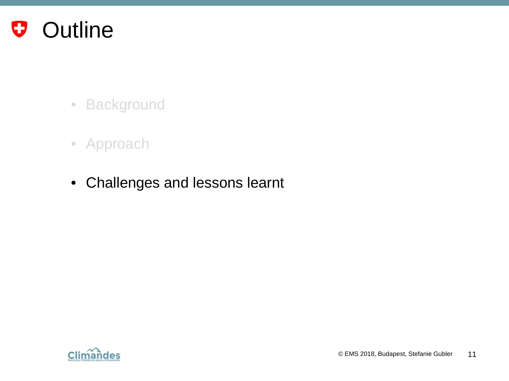- Background
- Approach
- Challenges and lessons learnt

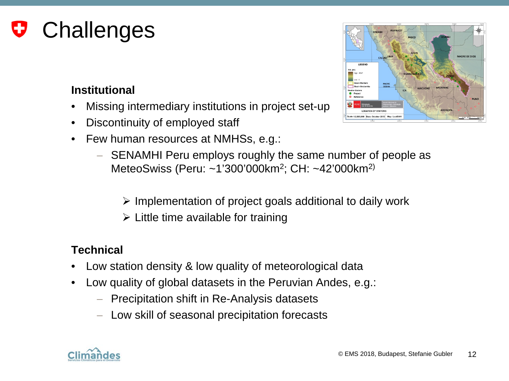#### **Challenges** U.

#### **Institutional**

- Missing intermediary institutions in project set-up
- Discontinuity of employed staff
- Few human resources at NMHSs, e.g.:
	- − SENAMHI Peru employs roughly the same number of people as MeteoSwiss (Peru: ~1'300'000km2; CH: ~42'000km2)
		- $\triangleright$  Implementation of project goals additional to daily work
		- $\triangleright$  Little time available for training

#### **Technical**

- Low station density & low quality of meteorological data
- Low quality of global datasets in the Peruvian Andes, e.g.:
	- − Precipitation shift in Re-Analysis datasets
	- − Low skill of seasonal precipitation forecasts



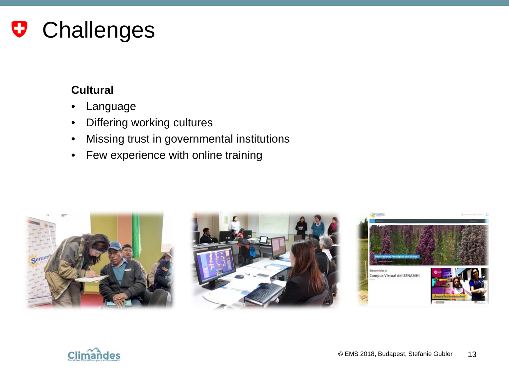### **U** Challenges

#### **Cultural**

- Language
- Differing working cultures
- Missing trust in governmental institutions
- Few experience with online training







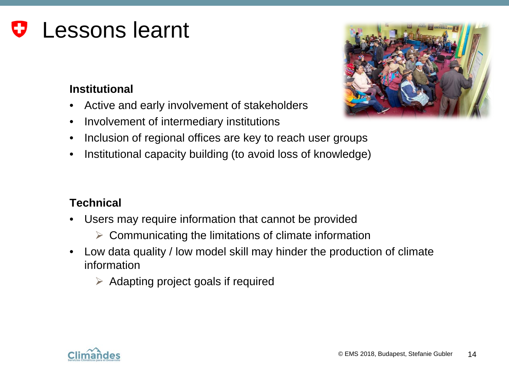### Lessons learnt

#### **Institutional**

- Active and early involvement of stakeholders
- Involvement of intermediary institutions
- Inclusion of regional offices are key to reach user groups
- Institutional capacity building (to avoid loss of knowledge)

#### **Technical**

- Users may require information that cannot be provided
	- $\triangleright$  Communicating the limitations of climate information
- Low data quality / low model skill may hinder the production of climate information
	- $\triangleright$  Adapting project goals if required



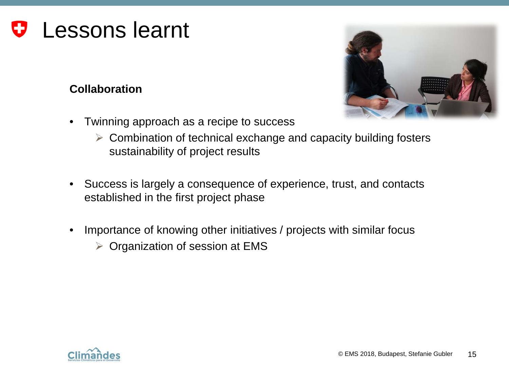#### Lessons learntIJ

#### **Collaboration**

• Twinning approach as a recipe to success

- 
- $\triangleright$  Combination of technical exchange and capacity building fosters sustainability of project results
- Success is largely a consequence of experience, trust, and contacts established in the first project phase
- Importance of knowing other initiatives / projects with similar focus  $\triangleright$  Organization of session at EMS